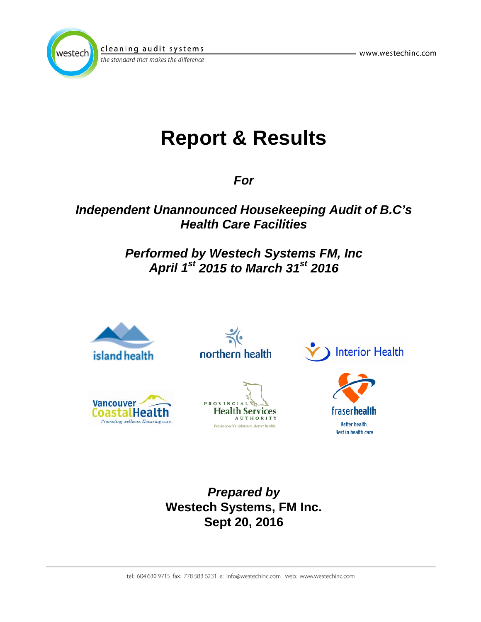



the standard that makes the difference

# **Report & Results**

*For*

# *Independent Unannounced Housekeeping Audit of B.C's Health Care Facilities*

# *Performed by Westech Systems FM, Inc April 1st 2015 to March 31st 2016*



northern health









Better health. Best in health care.

*Prepared by*  **Westech Systems, FM Inc. Sept 20, 2016**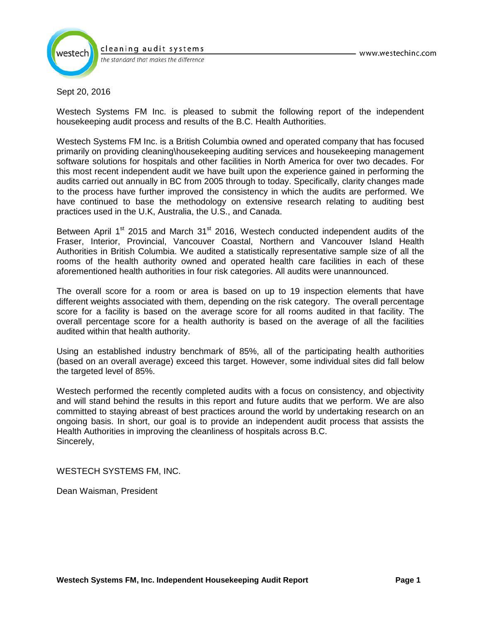

cleaning audit systems the standard that makes the difference

#### Sept 20, 2016

Westech Systems FM Inc. is pleased to submit the following report of the independent housekeeping audit process and results of the B.C. Health Authorities.

Westech Systems FM Inc. is a British Columbia owned and operated company that has focused primarily on providing cleaning\housekeeping auditing services and housekeeping management software solutions for hospitals and other facilities in North America for over two decades. For this most recent independent audit we have built upon the experience gained in performing the audits carried out annually in BC from 2005 through to today. Specifically, clarity changes made to the process have further improved the consistency in which the audits are performed. We have continued to base the methodology on extensive research relating to auditing best practices used in the U.K, Australia, the U.S., and Canada.

Between April  $1<sup>st</sup>$  2015 and March 31 $<sup>st</sup>$  2016, Westech conducted independent audits of the</sup> Fraser, Interior, Provincial, Vancouver Coastal, Northern and Vancouver Island Health Authorities in British Columbia. We audited a statistically representative sample size of all the rooms of the health authority owned and operated health care facilities in each of these aforementioned health authorities in four risk categories. All audits were unannounced.

The overall score for a room or area is based on up to 19 inspection elements that have different weights associated with them, depending on the risk category. The overall percentage score for a facility is based on the average score for all rooms audited in that facility. The overall percentage score for a health authority is based on the average of all the facilities audited within that health authority.

Using an established industry benchmark of 85%, all of the participating health authorities (based on an overall average) exceed this target. However, some individual sites did fall below the targeted level of 85%.

Westech performed the recently completed audits with a focus on consistency, and objectivity and will stand behind the results in this report and future audits that we perform. We are also committed to staying abreast of best practices around the world by undertaking research on an ongoing basis. In short, our goal is to provide an independent audit process that assists the Health Authorities in improving the cleanliness of hospitals across B.C. Sincerely,

WESTECH SYSTEMS FM, INC.

Dean Waisman, President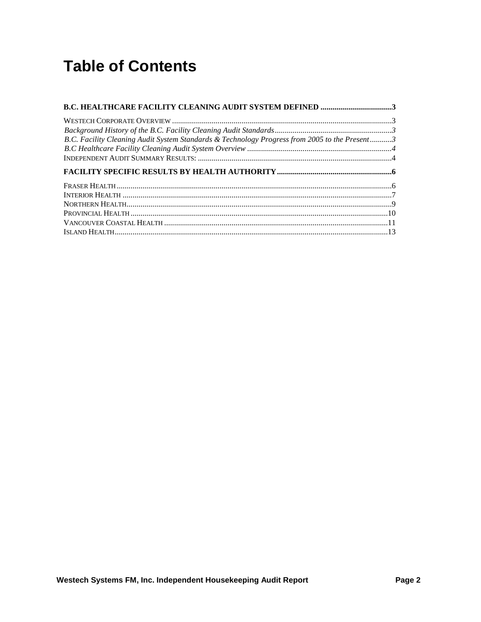# **Table of Contents**

| <b>B.C. HEALTHCARE FACILITY CLEANING AUDIT SYSTEM DEFINED 3</b>                               |  |
|-----------------------------------------------------------------------------------------------|--|
|                                                                                               |  |
|                                                                                               |  |
| B.C. Facility Cleaning Audit System Standards & Technology Progress from 2005 to the Present3 |  |
|                                                                                               |  |
|                                                                                               |  |
|                                                                                               |  |
|                                                                                               |  |
|                                                                                               |  |
|                                                                                               |  |
|                                                                                               |  |
|                                                                                               |  |
|                                                                                               |  |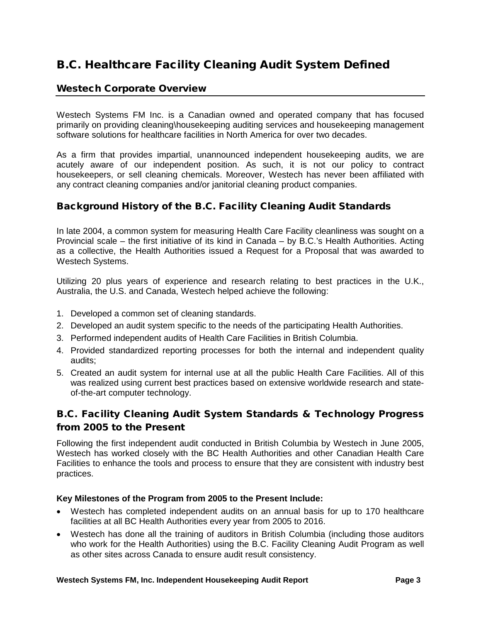### <span id="page-3-0"></span>B.C. Healthcare Facility Cleaning Audit System Defined

#### <span id="page-3-1"></span>Westech Corporate Overview

Westech Systems FM Inc. is a Canadian owned and operated company that has focused primarily on providing cleaning\housekeeping auditing services and housekeeping management software solutions for healthcare facilities in North America for over two decades.

As a firm that provides impartial, unannounced independent housekeeping audits, we are acutely aware of our independent position. As such, it is not our policy to contract housekeepers, or sell cleaning chemicals. Moreover, Westech has never been affiliated with any contract cleaning companies and/or janitorial cleaning product companies.

#### <span id="page-3-2"></span>Background History of the B.C. Facility Cleaning Audit Standards

In late 2004, a common system for measuring Health Care Facility cleanliness was sought on a Provincial scale – the first initiative of its kind in Canada – by B.C.'s Health Authorities. Acting as a collective, the Health Authorities issued a Request for a Proposal that was awarded to Westech Systems.

Utilizing 20 plus years of experience and research relating to best practices in the U.K., Australia, the U.S. and Canada, Westech helped achieve the following:

- 1. Developed a common set of cleaning standards.
- 2. Developed an audit system specific to the needs of the participating Health Authorities.
- 3. Performed independent audits of Health Care Facilities in British Columbia.
- 4. Provided standardized reporting processes for both the internal and independent quality audits;
- 5. Created an audit system for internal use at all the public Health Care Facilities. All of this was realized using current best practices based on extensive worldwide research and stateof-the-art computer technology.

#### <span id="page-3-3"></span>B.C. Facility Cleaning Audit System Standards & Technology Progress from 2005 to the Present

Following the first independent audit conducted in British Columbia by Westech in June 2005, Westech has worked closely with the BC Health Authorities and other Canadian Health Care Facilities to enhance the tools and process to ensure that they are consistent with industry best practices.

#### **Key Milestones of the Program from 2005 to the Present Include:**

- Westech has completed independent audits on an annual basis for up to 170 healthcare facilities at all BC Health Authorities every year from 2005 to 2016.
- Westech has done all the training of auditors in British Columbia (including those auditors who work for the Health Authorities) using the B.C. Facility Cleaning Audit Program as well as other sites across Canada to ensure audit result consistency.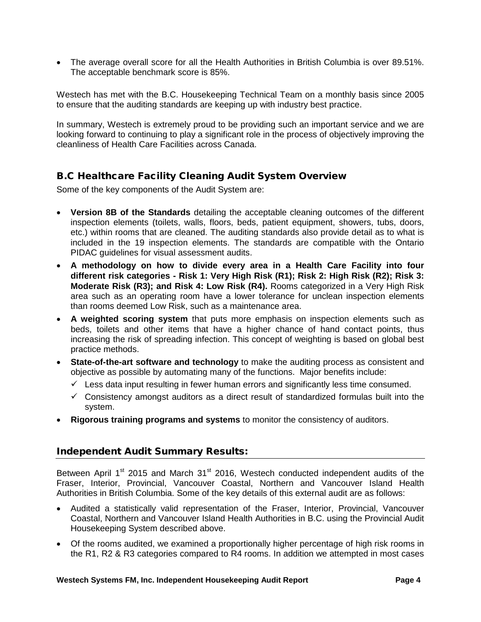• The average overall score for all the Health Authorities in British Columbia is over 89.51%. The acceptable benchmark score is 85%.

Westech has met with the B.C. Housekeeping Technical Team on a monthly basis since 2005 to ensure that the auditing standards are keeping up with industry best practice.

In summary, Westech is extremely proud to be providing such an important service and we are looking forward to continuing to play a significant role in the process of objectively improving the cleanliness of Health Care Facilities across Canada.

#### <span id="page-4-0"></span>B.C Healthcare Facility Cleaning Audit System Overview

Some of the key components of the Audit System are:

- **Version 8B of the Standards** detailing the acceptable cleaning outcomes of the different inspection elements (toilets, walls, floors, beds, patient equipment, showers, tubs, doors, etc.) within rooms that are cleaned. The auditing standards also provide detail as to what is included in the 19 inspection elements. The standards are compatible with the Ontario PIDAC guidelines for visual assessment audits.
- **A methodology on how to divide every area in a Health Care Facility into four different risk categories - Risk 1: Very High Risk (R1); Risk 2: High Risk (R2); Risk 3: Moderate Risk (R3); and Risk 4: Low Risk (R4).** Rooms categorized in a Very High Risk area such as an operating room have a lower tolerance for unclean inspection elements than rooms deemed Low Risk, such as a maintenance area.
- **A weighted scoring system** that puts more emphasis on inspection elements such as beds, toilets and other items that have a higher chance of hand contact points, thus increasing the risk of spreading infection. This concept of weighting is based on global best practice methods.
- **State-of-the-art software and technology** to make the auditing process as consistent and objective as possible by automating many of the functions. Major benefits include:
	- $\checkmark$  Less data input resulting in fewer human errors and significantly less time consumed.
	- $\checkmark$  Consistency amongst auditors as a direct result of standardized formulas built into the system.
- **Rigorous training programs and systems** to monitor the consistency of auditors.

#### <span id="page-4-1"></span>Independent Audit Summary Results:

Between April 1<sup>st</sup> 2015 and March 31<sup>st</sup> 2016, Westech conducted independent audits of the Fraser, Interior, Provincial, Vancouver Coastal, Northern and Vancouver Island Health Authorities in British Columbia. Some of the key details of this external audit are as follows:

- Audited a statistically valid representation of the Fraser, Interior, Provincial, Vancouver Coastal, Northern and Vancouver Island Health Authorities in B.C. using the Provincial Audit Housekeeping System described above.
- Of the rooms audited, we examined a proportionally higher percentage of high risk rooms in the R1, R2 & R3 categories compared to R4 rooms. In addition we attempted in most cases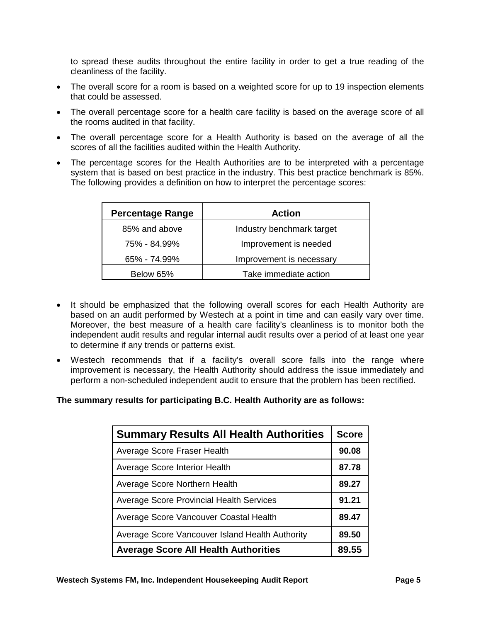to spread these audits throughout the entire facility in order to get a true reading of the cleanliness of the facility.

- The overall score for a room is based on a weighted score for up to 19 inspection elements that could be assessed.
- The overall percentage score for a health care facility is based on the average score of all the rooms audited in that facility.
- The overall percentage score for a Health Authority is based on the average of all the scores of all the facilities audited within the Health Authority.
- The percentage scores for the Health Authorities are to be interpreted with a percentage system that is based on best practice in the industry. This best practice benchmark is 85%. The following provides a definition on how to interpret the percentage scores:

| <b>Percentage Range</b> | Action                    |
|-------------------------|---------------------------|
| 85% and above           | Industry benchmark target |
| 75% - 84.99%            | Improvement is needed     |
| 65% - 74.99%            | Improvement is necessary  |
| Below 65%               | Take immediate action     |

- It should be emphasized that the following overall scores for each Health Authority are based on an audit performed by Westech at a point in time and can easily vary over time. Moreover, the best measure of a health care facility's cleanliness is to monitor both the independent audit results and regular internal audit results over a period of at least one year to determine if any trends or patterns exist.
- Westech recommends that if a facility's overall score falls into the range where improvement is necessary, the Health Authority should address the issue immediately and perform a non-scheduled independent audit to ensure that the problem has been rectified.

#### **The summary results for participating B.C. Health Authority are as follows:**

| <b>Summary Results All Health Authorities</b>   | <b>Score</b> |
|-------------------------------------------------|--------------|
| Average Score Fraser Health                     | 90.08        |
| Average Score Interior Health                   | 87.78        |
| Average Score Northern Health                   | 89.27        |
| <b>Average Score Provincial Health Services</b> | 91.21        |
| Average Score Vancouver Coastal Health          | 89.47        |
| Average Score Vancouver Island Health Authority | 89.50        |
| <b>Average Score All Health Authorities</b>     | 89.55        |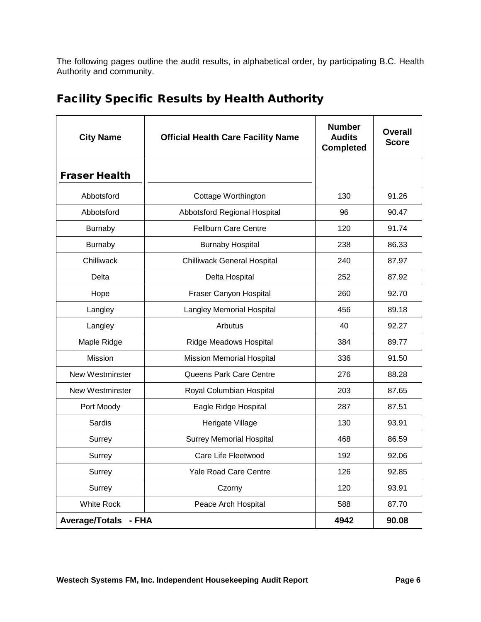The following pages outline the audit results, in alphabetical order, by participating B.C. Health Authority and community.

<span id="page-6-1"></span>

| <b>City Name</b>               | <b>Official Health Care Facility Name</b> | <b>Number</b><br><b>Audits</b><br><b>Completed</b> | Overall<br><b>Score</b> |
|--------------------------------|-------------------------------------------|----------------------------------------------------|-------------------------|
| <b>Fraser Health</b>           |                                           |                                                    |                         |
| Abbotsford                     | Cottage Worthington                       | 130                                                | 91.26                   |
| Abbotsford                     | Abbotsford Regional Hospital              | 96                                                 | 90.47                   |
| Burnaby                        | <b>Fellburn Care Centre</b>               | 120                                                | 91.74                   |
| <b>Burnaby</b>                 | <b>Burnaby Hospital</b>                   | 238                                                | 86.33                   |
| Chilliwack                     | <b>Chilliwack General Hospital</b>        | 240                                                | 87.97                   |
| Delta                          | Delta Hospital                            | 252                                                | 87.92                   |
| Hope                           | Fraser Canyon Hospital                    | 260                                                | 92.70                   |
| Langley                        | Langley Memorial Hospital                 | 456                                                | 89.18                   |
| Langley                        | Arbutus                                   | 40                                                 | 92.27                   |
| Maple Ridge                    | <b>Ridge Meadows Hospital</b>             | 384                                                | 89.77                   |
| Mission                        | <b>Mission Memorial Hospital</b>          | 336                                                | 91.50                   |
| <b>New Westminster</b>         | Queens Park Care Centre                   | 276                                                | 88.28                   |
| <b>New Westminster</b>         | Royal Columbian Hospital                  | 203                                                | 87.65                   |
| Port Moody                     | Eagle Ridge Hospital                      | 287                                                | 87.51                   |
| Sardis                         | Herigate Village                          | 130                                                | 93.91                   |
| Surrey                         | <b>Surrey Memorial Hospital</b>           | 468                                                | 86.59                   |
| Surrey                         | Care Life Fleetwood                       | 192                                                | 92.06                   |
| Surrey                         | Yale Road Care Centre                     | 126                                                | 92.85                   |
| Surrey                         | Czorny                                    | 120                                                | 93.91                   |
| White Rock                     | Peace Arch Hospital                       | 588                                                | 87.70                   |
| <b>Average/Totals</b><br>- FHA |                                           | 4942                                               | 90.08                   |

## <span id="page-6-0"></span>Facility Specific Results by Health Authority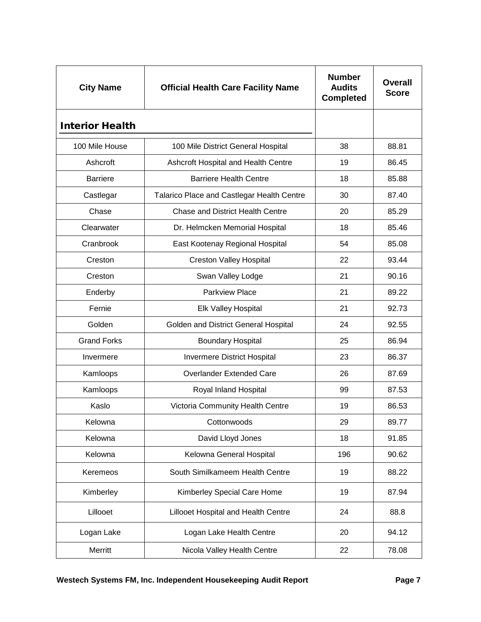<span id="page-7-0"></span>

| <b>City Name</b>       | <b>Official Health Care Facility Name</b>  | <b>Number</b><br><b>Audits</b><br><b>Completed</b> | <b>Overall</b><br><b>Score</b> |
|------------------------|--------------------------------------------|----------------------------------------------------|--------------------------------|
| <b>Interior Health</b> |                                            |                                                    |                                |
| 100 Mile House         | 100 Mile District General Hospital         | 38                                                 | 88.81                          |
| Ashcroft               | Ashcroft Hospital and Health Centre        | 19                                                 | 86.45                          |
| <b>Barriere</b>        | <b>Barriere Health Centre</b>              | 18                                                 | 85.88                          |
| Castlegar              | Talarico Place and Castlegar Health Centre | 30                                                 | 87.40                          |
| Chase                  | <b>Chase and District Health Centre</b>    | 20                                                 | 85.29                          |
| Clearwater             | Dr. Helmcken Memorial Hospital             | 18                                                 | 85.46                          |
| Cranbrook              | East Kootenay Regional Hospital            | 54                                                 | 85.08                          |
| Creston                | <b>Creston Valley Hospital</b>             | 22                                                 | 93.44                          |
| Creston                | Swan Valley Lodge                          | 21                                                 | 90.16                          |
| Enderby                | <b>Parkview Place</b>                      | 21                                                 | 89.22                          |
| Fernie                 | Elk Valley Hospital                        | 21                                                 | 92.73                          |
| Golden                 | Golden and District General Hospital       | 24                                                 | 92.55                          |
| <b>Grand Forks</b>     | <b>Boundary Hospital</b>                   | 25                                                 | 86.94                          |
| Invermere              | <b>Invermere District Hospital</b>         | 23                                                 | 86.37                          |
| Kamloops               | <b>Overlander Extended Care</b>            | 26                                                 | 87.69                          |
| Kamloops               | Royal Inland Hospital                      | 99                                                 | 87.53                          |
| Kaslo                  | Victoria Community Health Centre           | 19                                                 | 86.53                          |
| Kelowna                | Cottonwoods                                | 29                                                 | 89.77                          |
| Kelowna                | David Lloyd Jones                          | 18                                                 | 91.85                          |
| Kelowna                | Kelowna General Hospital                   | 196                                                | 90.62                          |
| Keremeos               | South Similkameem Health Centre            | 19                                                 | 88.22                          |
| Kimberley              | Kimberley Special Care Home                | 19                                                 | 87.94                          |
| Lillooet               | Lillooet Hospital and Health Centre        | 24                                                 | 88.8                           |
| Logan Lake             | Logan Lake Health Centre                   | 20                                                 | 94.12                          |
| Merritt                | Nicola Valley Health Centre                | 22                                                 | 78.08                          |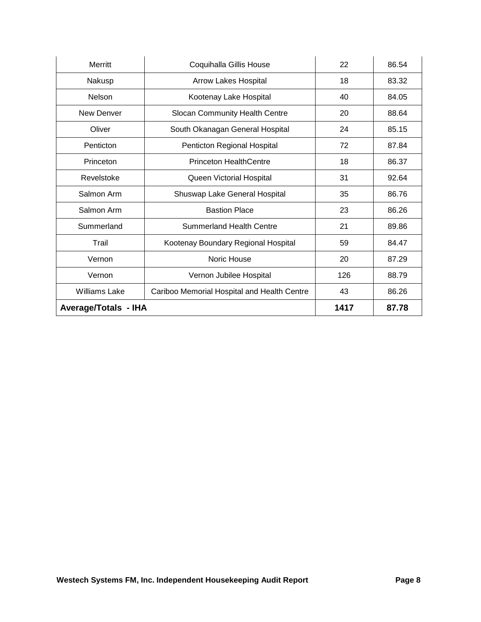| Merritt                     | Coquihalla Gillis House                     | 22   | 86.54 |
|-----------------------------|---------------------------------------------|------|-------|
| Nakusp                      | <b>Arrow Lakes Hospital</b>                 | 18   | 83.32 |
| <b>Nelson</b>               | Kootenay Lake Hospital                      | 40   | 84.05 |
| New Denver                  | Slocan Community Health Centre              | 20   | 88.64 |
| Oliver                      | South Okanagan General Hospital             | 24   | 85.15 |
| Penticton                   | Penticton Regional Hospital                 | 72   | 87.84 |
| Princeton                   | <b>Princeton HealthCentre</b>               | 18   | 86.37 |
| Revelstoke                  | Queen Victorial Hospital                    | 31   | 92.64 |
| Salmon Arm                  | Shuswap Lake General Hospital               | 35   | 86.76 |
| Salmon Arm                  | <b>Bastion Place</b>                        | 23   | 86.26 |
| Summerland                  | <b>Summerland Health Centre</b>             | 21   | 89.86 |
| Trail                       | Kootenay Boundary Regional Hospital         | 59   | 84.47 |
| Vernon                      | Noric House                                 | 20   | 87.29 |
| Vernon                      | Vernon Jubilee Hospital                     | 126  | 88.79 |
| <b>Williams Lake</b>        | Cariboo Memorial Hospital and Health Centre | 43   | 86.26 |
| <b>Average/Totals - IHA</b> |                                             | 1417 | 87.78 |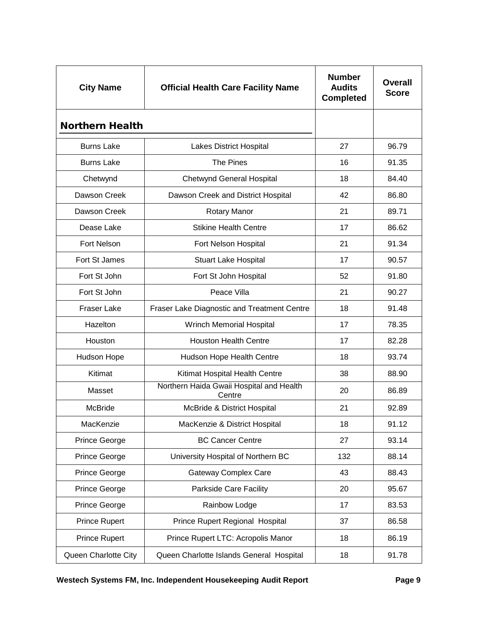<span id="page-9-0"></span>

| <b>City Name</b>       | <b>Official Health Care Facility Name</b>          | <b>Number</b><br><b>Audits</b><br><b>Completed</b> | <b>Overall</b><br><b>Score</b> |
|------------------------|----------------------------------------------------|----------------------------------------------------|--------------------------------|
| <b>Northern Health</b> |                                                    |                                                    |                                |
| <b>Burns Lake</b>      | Lakes District Hospital                            | 27                                                 | 96.79                          |
| <b>Burns Lake</b>      | The Pines                                          | 16                                                 | 91.35                          |
| Chetwynd               | <b>Chetwynd General Hospital</b>                   | 18                                                 | 84.40                          |
| Dawson Creek           | Dawson Creek and District Hospital                 | 42                                                 | 86.80                          |
| Dawson Creek           | <b>Rotary Manor</b>                                | 21                                                 | 89.71                          |
| Dease Lake             | <b>Stikine Health Centre</b>                       | 17                                                 | 86.62                          |
| Fort Nelson            | Fort Nelson Hospital                               | 21                                                 | 91.34                          |
| Fort St James          | <b>Stuart Lake Hospital</b>                        | 17                                                 | 90.57                          |
| Fort St John           | Fort St John Hospital                              | 52                                                 | 91.80                          |
| Fort St John           | Peace Villa                                        | 21                                                 | 90.27                          |
| <b>Fraser Lake</b>     | Fraser Lake Diagnostic and Treatment Centre        | 18                                                 | 91.48                          |
| Hazelton               | <b>Wrinch Memorial Hospital</b>                    | 17                                                 | 78.35                          |
| Houston                | <b>Houston Health Centre</b>                       | 17                                                 | 82.28                          |
| Hudson Hope            | Hudson Hope Health Centre                          | 18                                                 | 93.74                          |
| Kitimat                | Kitimat Hospital Health Centre                     | 38                                                 | 88.90                          |
| Masset                 | Northern Haida Gwaii Hospital and Health<br>Centre | 20                                                 | 86.89                          |
| <b>McBride</b>         | McBride & District Hospital                        | 21                                                 | 92.89                          |
| MacKenzie              | MacKenzie & District Hospital                      | 18                                                 | 91.12                          |
| Prince George          | <b>BC Cancer Centre</b>                            | 27                                                 | 93.14                          |
| Prince George          | University Hospital of Northern BC                 | 132                                                | 88.14                          |
| Prince George          | <b>Gateway Complex Care</b>                        | 43                                                 | 88.43                          |
| Prince George          | <b>Parkside Care Facility</b>                      | 20                                                 | 95.67                          |
| Prince George          | Rainbow Lodge                                      | 17                                                 | 83.53                          |
| Prince Rupert          | Prince Rupert Regional Hospital                    | 37                                                 | 86.58                          |
| <b>Prince Rupert</b>   | Prince Rupert LTC: Acropolis Manor                 | 18                                                 | 86.19                          |
| Queen Charlotte City   | Queen Charlotte Islands General Hospital           | 18                                                 | 91.78                          |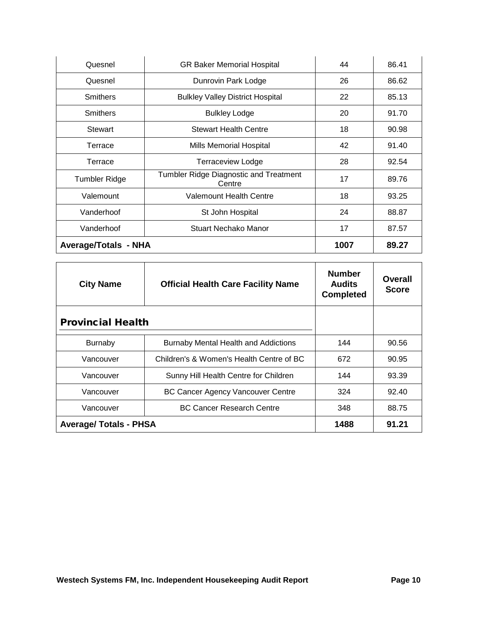| Quesnel                     | <b>GR Baker Memorial Hospital</b>                | 44   | 86.41 |
|-----------------------------|--------------------------------------------------|------|-------|
| Quesnel                     | Dunrovin Park Lodge                              | 26   | 86.62 |
| <b>Smithers</b>             | <b>Bulkley Valley District Hospital</b>          | 22   | 85.13 |
| <b>Smithers</b>             | <b>Bulkley Lodge</b>                             | 20   | 91.70 |
| Stewart                     | <b>Stewart Health Centre</b>                     | 18   | 90.98 |
| Terrace                     | Mills Memorial Hospital                          | 42   | 91.40 |
| Terrace                     | Terraceview Lodge                                | 28   | 92.54 |
| <b>Tumbler Ridge</b>        | Tumbler Ridge Diagnostic and Treatment<br>Centre | 17   | 89.76 |
| Valemount                   | Valemount Health Centre                          | 18   | 93.25 |
| Vanderhoof                  | St John Hospital                                 | 24   | 88.87 |
| Vanderhoof                  | Stuart Nechako Manor                             | 17   | 87.57 |
| <b>Average/Totals - NHA</b> |                                                  | 1007 | 89.27 |

<span id="page-10-0"></span>

| <b>City Name</b>              | <b>Official Health Care Facility Name</b>   | <b>Number</b><br><b>Audits</b><br><b>Completed</b> | Overall<br><b>Score</b> |
|-------------------------------|---------------------------------------------|----------------------------------------------------|-------------------------|
| <b>Provincial Health</b>      |                                             |                                                    |                         |
| <b>Burnaby</b>                | <b>Burnaby Mental Health and Addictions</b> | 144                                                | 90.56                   |
| Vancouver                     | Children's & Women's Health Centre of BC    | 672                                                | 90.95                   |
| Vancouver                     | Sunny Hill Health Centre for Children       | 144                                                | 93.39                   |
| Vancouver                     | <b>BC Cancer Agency Vancouver Centre</b>    | 324                                                | 92.40                   |
| Vancouver                     | <b>BC Cancer Research Centre</b>            | 348                                                | 88.75                   |
| <b>Average/ Totals - PHSA</b> |                                             | 1488                                               | 91.21                   |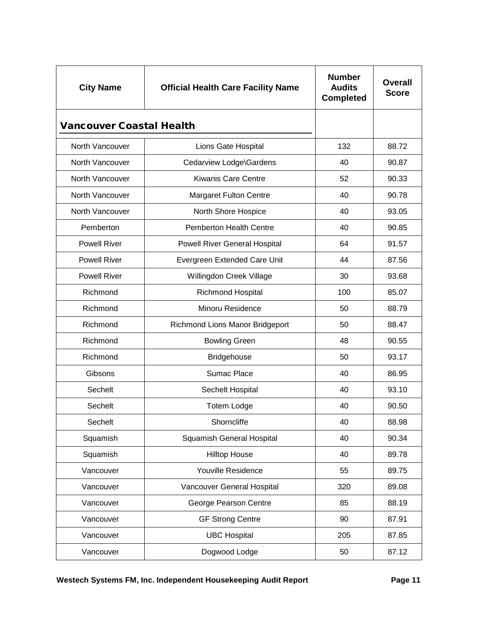<span id="page-11-0"></span>

| <b>City Name</b>                | <b>Official Health Care Facility Name</b> | <b>Number</b><br><b>Audits</b><br><b>Completed</b> | <b>Overall</b><br><b>Score</b> |
|---------------------------------|-------------------------------------------|----------------------------------------------------|--------------------------------|
| <b>Vancouver Coastal Health</b> |                                           |                                                    |                                |
| North Vancouver                 | Lions Gate Hospital                       | 132                                                | 88.72                          |
| North Vancouver                 | Cedarview Lodge\Gardens                   | 40                                                 | 90.87                          |
| North Vancouver                 | <b>Kiwanis Care Centre</b>                | 52                                                 | 90.33                          |
| North Vancouver                 | <b>Margaret Fulton Centre</b>             | 40                                                 | 90.78                          |
| North Vancouver                 | North Shore Hospice                       | 40                                                 | 93.05                          |
| Pemberton                       | <b>Pemberton Health Centre</b>            | 40                                                 | 90.85                          |
| <b>Powell River</b>             | <b>Powell River General Hospital</b>      | 64                                                 | 91.57                          |
| <b>Powell River</b>             | Evergreen Extended Care Unit              | 44                                                 | 87.56                          |
| <b>Powell River</b>             | Willingdon Creek Village                  | 30                                                 | 93.68                          |
| Richmond                        | <b>Richmond Hospital</b>                  | 100                                                | 85.07                          |
| Richmond                        | Minoru Residence                          | 50                                                 | 88.79                          |
| Richmond                        | Richmond Lions Manor Bridgeport           | 50                                                 | 88.47                          |
| Richmond                        | <b>Bowling Green</b>                      | 48                                                 | 90.55                          |
| Richmond                        | <b>Bridgehouse</b>                        | 50                                                 | 93.17                          |
| Gibsons                         | Sumac Place                               | 40                                                 | 86.95                          |
| Sechelt                         | Sechelt Hospital                          | 40                                                 | 93.10                          |
| Sechelt                         | <b>Totem Lodge</b>                        | 40                                                 | 90.50                          |
| Sechelt                         | Shorncliffe                               | 40                                                 | 88.98                          |
| Squamish                        | <b>Squamish General Hospital</b>          | 40                                                 | 90.34                          |
| Squamish                        | <b>Hilltop House</b>                      | 40                                                 | 89.78                          |
| Vancouver                       | <b>Youville Residence</b>                 | 55                                                 | 89.75                          |
| Vancouver                       | Vancouver General Hospital                | 320                                                | 89.08                          |
| Vancouver                       | George Pearson Centre                     | 85                                                 | 88.19                          |
| Vancouver                       | <b>GF Strong Centre</b>                   | 90                                                 | 87.91                          |
| Vancouver                       | <b>UBC Hospital</b>                       | 205                                                | 87.85                          |
| Vancouver                       | Dogwood Lodge                             | 50                                                 | 87.12                          |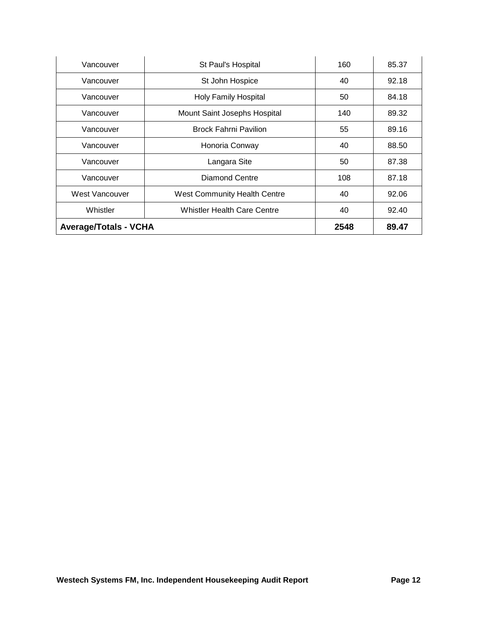| Vancouver                    | St Paul's Hospital                  | 160  | 85.37 |
|------------------------------|-------------------------------------|------|-------|
| Vancouver                    | St John Hospice                     | 40   | 92.18 |
| Vancouver                    | <b>Holy Family Hospital</b>         | 50   | 84.18 |
| Vancouver                    | Mount Saint Josephs Hospital        | 140  | 89.32 |
| Vancouver                    | <b>Brock Fahrni Pavilion</b>        | 55   | 89.16 |
| Vancouver                    | Honoria Conway                      | 40   | 88.50 |
| Vancouver                    | Langara Site                        | 50   | 87.38 |
| Vancouver                    | <b>Diamond Centre</b>               | 108  | 87.18 |
| West Vancouver               | <b>West Community Health Centre</b> | 40   | 92.06 |
| Whistler                     | <b>Whistler Health Care Centre</b>  | 40   | 92.40 |
| <b>Average/Totals - VCHA</b> |                                     | 2548 | 89.47 |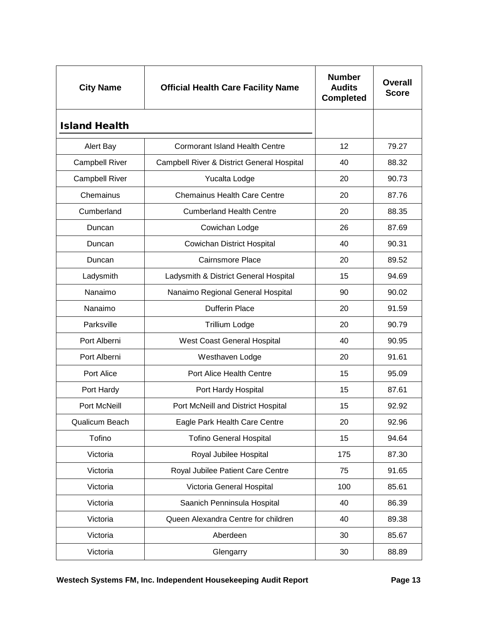<span id="page-13-0"></span>

| <b>City Name</b>      | <b>Official Health Care Facility Name</b>             | <b>Number</b><br><b>Audits</b><br><b>Completed</b> | Overall<br><b>Score</b> |
|-----------------------|-------------------------------------------------------|----------------------------------------------------|-------------------------|
| <b>Island Health</b>  |                                                       |                                                    |                         |
| Alert Bay             | <b>Cormorant Island Health Centre</b>                 | 12                                                 | 79.27                   |
| <b>Campbell River</b> | <b>Campbell River &amp; District General Hospital</b> | 40                                                 | 88.32                   |
| <b>Campbell River</b> | Yucalta Lodge                                         | 20                                                 | 90.73                   |
| Chemainus             | <b>Chemainus Health Care Centre</b>                   | 20                                                 | 87.76                   |
| Cumberland            | <b>Cumberland Health Centre</b>                       | 20                                                 | 88.35                   |
| Duncan                | Cowichan Lodge                                        | 26                                                 | 87.69                   |
| Duncan                | <b>Cowichan District Hospital</b>                     | 40                                                 | 90.31                   |
| Duncan                | Cairnsmore Place                                      | 20                                                 | 89.52                   |
| Ladysmith             | Ladysmith & District General Hospital                 | 15                                                 | 94.69                   |
| Nanaimo               | Nanaimo Regional General Hospital                     | 90                                                 | 90.02                   |
| Nanaimo               | <b>Dufferin Place</b>                                 | 20                                                 | 91.59                   |
| Parksville            | <b>Trillium Lodge</b>                                 | 20                                                 | 90.79                   |
| Port Alberni          | West Coast General Hospital                           | 40                                                 | 90.95                   |
| Port Alberni          | Westhaven Lodge                                       | 20                                                 | 91.61                   |
| Port Alice            | Port Alice Health Centre                              | 15                                                 | 95.09                   |
| Port Hardy            | Port Hardy Hospital                                   | 15                                                 | 87.61                   |
| Port McNeill          | Port McNeill and District Hospital                    | 15                                                 | 92.92                   |
| Qualicum Beach        | Eagle Park Health Care Centre                         | 20                                                 | 92.96                   |
| Tofino                | <b>Tofino General Hospital</b>                        | 15                                                 | 94.64                   |
| Victoria              | Royal Jubilee Hospital                                | 175                                                | 87.30                   |
| Victoria              | Royal Jubilee Patient Care Centre                     | 75                                                 | 91.65                   |
| Victoria              | Victoria General Hospital                             | 100                                                | 85.61                   |
| Victoria              | Saanich Penninsula Hospital                           | 40                                                 | 86.39                   |
| Victoria              | Queen Alexandra Centre for children                   | 40                                                 | 89.38                   |
| Victoria              | Aberdeen                                              | 30                                                 | 85.67                   |
| Victoria              | Glengarry                                             | 30                                                 | 88.89                   |